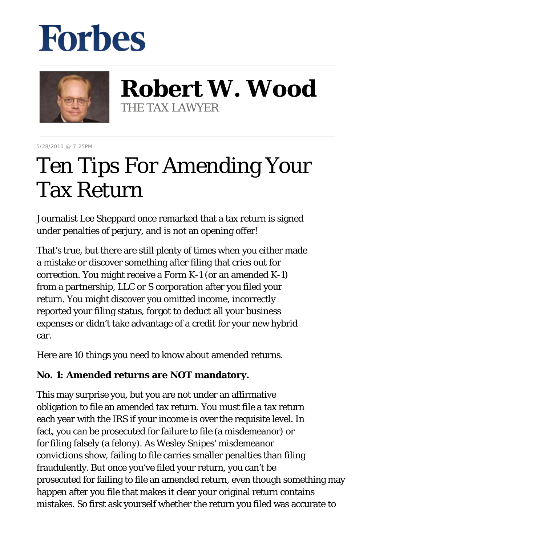# **Forbes**



**Robert W. Wood** THE TAX LAWYER

5/28/2010 @ 7:25PM

# Ten Tips For Amending Your Tax Return

Journalist Lee Sheppard once remarked that a tax return is signed under penalties of perjury, and is not an opening offer!

That's true, but there are still plenty of times when you either made a mistake or discover something after filing that cries out for correction. You might receive a Form K-1 (or an amended K-1) from a partnership, LLC or S corporation after you filed your return. You might discover you omitted income, incorrectly reported your filing status, forgot to deduct all your business expenses or didn't take advantage of a credit for your new hybrid car.

Here are 10 things you need to know about amended returns.

# **No. 1: Amended returns are NOT mandatory.**

This may surprise you, but you are not under an affirmative obligation to file an amended tax return. You must file a tax return each year with the IRS if your income is over the requisite level. In fact, you can be prosecuted for failure to file (a misdemeanor) or for filing falsely (a felony). As Wesley Snipes' misdemeanor convictions show, failing to file carries smaller penalties than filing fraudulently. But once you've filed your return, you can't be prosecuted for failing to file an amended return, even though something may happen after you file that makes it clear your original return contains mistakes. So first ask yourself whether the return you filed was accurate to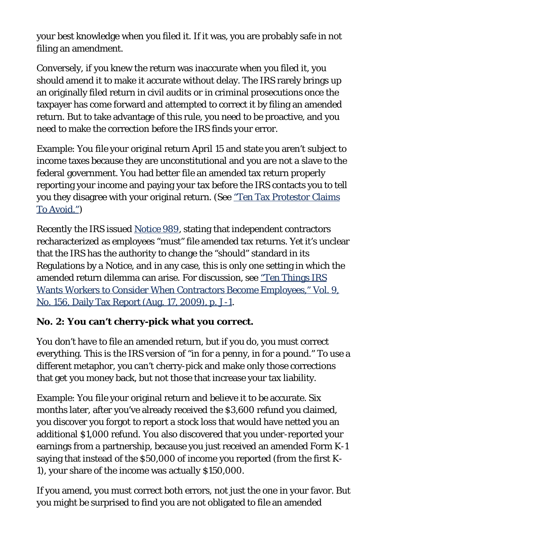your best knowledge when you filed it. If it was, you are probably safe in not filing an amendment.

Conversely, if you knew the return was inaccurate when you filed it, you should amend it to make it accurate without delay. The IRS rarely brings up an originally filed return in civil audits or in criminal prosecutions once the taxpayer has come forward and attempted to correct it by filing an amended return. But to take advantage of this rule, you need to be proactive, and you need to make the correction before the IRS finds your error.

Example: You file your original return April 15 and state you aren't subject to income taxes because they are unconstitutional and you are not a slave to the federal government. You had better file an amended tax return properly reporting your income and paying your tax before the IRS contacts you to tell you they disagree with your original return. (See ["Ten Tax Protestor Claims](http://www.forbes.com/2010/02/19/irs-tax-protestor-stack-snipes-personal-finance-robert-wood.html) [To Avoid."](http://www.forbes.com/2010/02/19/irs-tax-protestor-stack-snipes-personal-finance-robert-wood.html))

Recently the IRS issued [Notice 989,](http://www.irs.gov/pub/irs-pdf/n989.pdf) stating that independent contractors recharacterized as employees "must" file amended tax returns. Yet it's unclear that the IRS has the authority to change the "should" standard in its Regulations by a Notice, and in any case, this is only one setting in which the amended return dilemma can arise. For discussion, see ["Ten Things IRS](http://www.woodporter.com/Publications/Articles/pdf/Ten_Things_IRS_Wants_Workers_to_Consider_When_Contractors_Become_Employees.pdf) [Wants Workers to Consider When Contractors Become Employees," Vol. 9,](http://www.woodporter.com/Publications/Articles/pdf/Ten_Things_IRS_Wants_Workers_to_Consider_When_Contractors_Become_Employees.pdf) [No. 156, Daily Tax Report \(Aug. 17, 2009\), p. J-1.](http://www.woodporter.com/Publications/Articles/pdf/Ten_Things_IRS_Wants_Workers_to_Consider_When_Contractors_Become_Employees.pdf)

#### **No. 2: You can't cherry-pick what you correct.**

You don't have to file an amended return, but if you do, you must correct everything. This is the IRS version of "in for a penny, in for a pound." To use a different metaphor, you can't cherry-pick and make only those corrections that get you money back, but not those that increase your tax liability.

Example: You file your original return and believe it to be accurate. Six months later, after you've already received the \$3,600 refund you claimed, you discover you forgot to report a stock loss that would have netted you an additional \$1,000 refund. You also discovered that you under-reported your earnings from a partnership, because you just received an amended Form K-1 saying that instead of the \$50,000 of income you reported (from the first K-1), your share of the income was actually \$150,000.

If you amend, you must correct both errors, not just the one in your favor. But you might be surprised to find you are not obligated to file an amended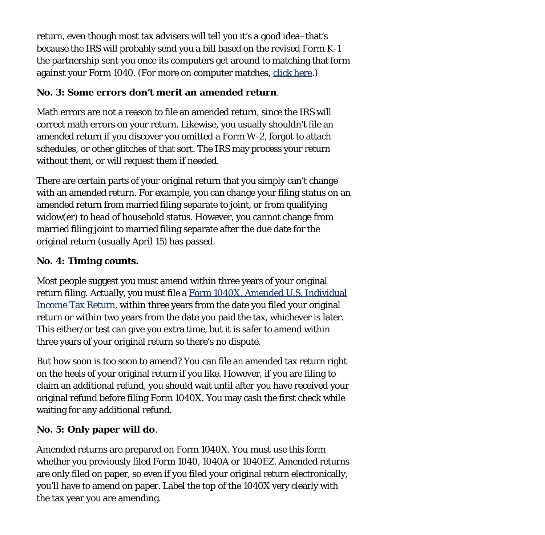return, even though most tax advisers will tell you it's a good idea–that's because the IRS will probably send you a bill based on the revised Form K-1 the partnership sent you once its computers get around to matching that form against your Form 1040. (For more on computer matches, [click here](http://www.forbes.com/forbes/2010/0329/investing-irs-audit-mail-math-error-1099-torture-by-mail.html).)

#### **No. 3: Some errors don't merit an amended return**.

Math errors are not a reason to file an amended return, since the IRS will correct math errors on your return. Likewise, you usually shouldn't file an amended return if you discover you omitted a Form W-2, forgot to attach schedules, or other glitches of that sort. The IRS may process your return without them, or will request them if needed.

There are certain parts of your original return that you simply can't change with an amended return. For example, you can change your filing status on an amended return from married filing separate to joint, or from qualifying widow(er) to head of household status. However, you cannot change from married filing joint to married filing separate after the due date for the original return (usually April 15) has passed.

#### **No. 4: Timing counts.**

Most people suggest you must amend within three years of your original return filing. Actually, you must file a [Form 1040X, Amended U.S. Individual](http://www.irs.gov/pub/irs-pdf/f1040x.pdf) [Income Tax Return](http://www.irs.gov/pub/irs-pdf/f1040x.pdf), within three years from the date you filed your original return or within two years from the date you paid the tax, whichever is later. This either/or test can give you extra time, but it is safer to amend within three years of your original return so there's no dispute.

But how soon is too soon to amend? You can file an amended tax return right on the heels of your original return if you like. However, if you are filing to claim an additional refund, you should wait until after you have received your original refund before filing Form 1040X. You may cash the first check while waiting for any additional refund.

# **No. 5: Only paper will do**.

Amended returns are prepared on Form 1040X. You must use this form whether you previously filed Form 1040, 1040A or 1040EZ. Amended returns are only filed on paper, so even if you filed your original return electronically, you'll have to amend on paper. Label the top of the 1040X very clearly with the tax year you are amending.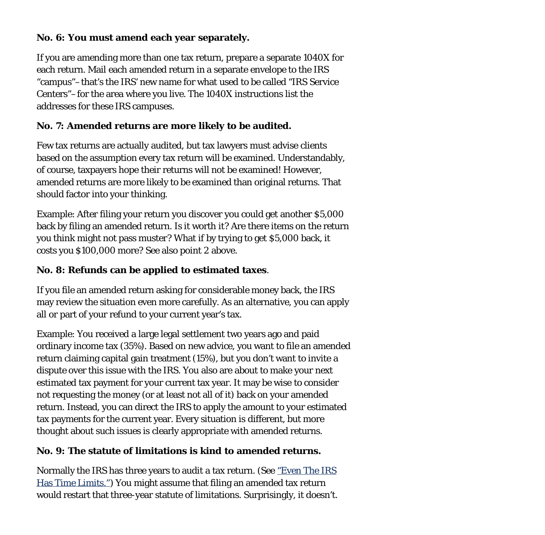#### **No. 6: You must amend each year separately.**

If you are amending more than one tax return, prepare a separate 1040X for each return. Mail each amended return in a separate envelope to the IRS "campus"–that's the IRS' new name for what used to be called "IRS Service Centers"–for the area where you live. The 1040X instructions list the addresses for these IRS campuses.

# **No. 7: Amended returns are more likely to be audited.**

Few tax returns are actually audited, but tax lawyers must advise clients based on the assumption every tax return will be examined. Understandably, of course, taxpayers hope their returns will not be examined! However, amended returns are more likely to be examined than original returns. That should factor into your thinking.

Example: After filing your return you discover you could get another \$5,000 back by filing an amended return. Is it worth it? Are there items on the return you think might not pass muster? What if by trying to get \$5,000 back, it costs you \$100,000 more? See also point 2 above.

# **No. 8: Refunds can be applied to estimated taxes**.

If you file an amended return asking for considerable money back, the IRS may review the situation even more carefully. As an alternative, you can apply all or part of your refund to your current year's tax.

Example: You received a large legal settlement two years ago and paid ordinary income tax (35%). Based on new advice, you want to file an amended return claiming capital gain treatment (15%), but you don't want to invite a dispute over this issue with the IRS. You also are about to make your next estimated tax payment for your current tax year. It may be wise to consider not requesting the money (or at least not all of it) back on your amended return. Instead, you can direct the IRS to apply the amount to your estimated tax payments for the current year. Every situation is different, but more thought about such issues is clearly appropriate with amended returns.

#### **No. 9: The statute of limitations is kind to amended returns.**

Normally the IRS has three years to audit a tax return. (See ["Even The IRS](http://www.forbes.com/2009/10/08/IRS-tax-audits-statute-limitations-personal-finance-wood.html) [Has Time Limits."\)](http://www.forbes.com/2009/10/08/IRS-tax-audits-statute-limitations-personal-finance-wood.html) You might assume that filing an amended tax return would restart that three-year statute of limitations. Surprisingly, it doesn't.